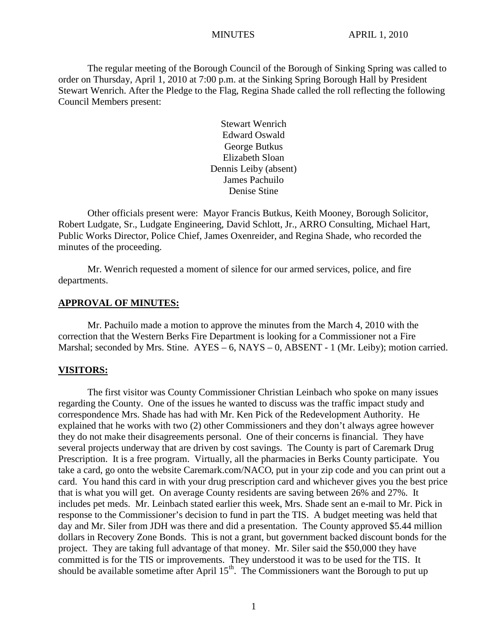The regular meeting of the Borough Council of the Borough of Sinking Spring was called to order on Thursday, April 1, 2010 at 7:00 p.m. at the Sinking Spring Borough Hall by President Stewart Wenrich. After the Pledge to the Flag, Regina Shade called the roll reflecting the following Council Members present:

> Stewart Wenrich Edward Oswald George Butkus Elizabeth Sloan Dennis Leiby (absent) James Pachuilo Denise Stine

Other officials present were: Mayor Francis Butkus, Keith Mooney, Borough Solicitor, Robert Ludgate, Sr., Ludgate Engineering, David Schlott, Jr., ARRO Consulting, Michael Hart, Public Works Director, Police Chief, James Oxenreider, and Regina Shade, who recorded the minutes of the proceeding.

Mr. Wenrich requested a moment of silence for our armed services, police, and fire departments.

#### **APPROVAL OF MINUTES:**

Mr. Pachuilo made a motion to approve the minutes from the March 4, 2010 with the correction that the Western Berks Fire Department is looking for a Commissioner not a Fire Marshal; seconded by Mrs. Stine.  $AYES - 6$ ,  $NAYS - 0$ ,  $ABSENT - 1$  (Mr. Leiby); motion carried.

#### **VISITORS:**

The first visitor was County Commissioner Christian Leinbach who spoke on many issues regarding the County. One of the issues he wanted to discuss was the traffic impact study and correspondence Mrs. Shade has had with Mr. Ken Pick of the Redevelopment Authority. He explained that he works with two (2) other Commissioners and they don't always agree however they do not make their disagreements personal. One of their concerns is financial. They have several projects underway that are driven by cost savings. The County is part of Caremark Drug Prescription. It is a free program. Virtually, all the pharmacies in Berks County participate. You take a card, go onto the website Caremark.com/NACO, put in your zip code and you can print out a card. You hand this card in with your drug prescription card and whichever gives you the best price that is what you will get. On average County residents are saving between 26% and 27%. It includes pet meds. Mr. Leinbach stated earlier this week, Mrs. Shade sent an e-mail to Mr. Pick in response to the Commissioner's decision to fund in part the TIS. A budget meeting was held that day and Mr. Siler from JDH was there and did a presentation. The County approved \$5.44 million dollars in Recovery Zone Bonds. This is not a grant, but government backed discount bonds for the project. They are taking full advantage of that money. Mr. Siler said the \$50,000 they have committed is for the TIS or improvements. They understood it was to be used for the TIS. It should be available sometime after April  $15<sup>th</sup>$ . The Commissioners want the Borough to put up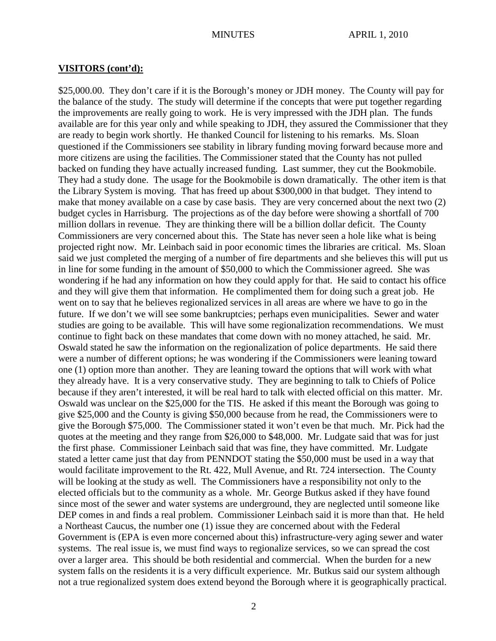#### **VISITORS (cont'd):**

\$25,000.00. They don't care if it is the Borough's money or JDH money. The County will pay for the balance of the study. The study will determine if the concepts that were put together regarding the improvements are really going to work. He is very impressed with the JDH plan. The funds available are for this year only and while speaking to JDH, they assured the Commissioner that they are ready to begin work shortly. He thanked Council for listening to his remarks. Ms. Sloan questioned if the Commissioners see stability in library funding moving forward because more and more citizens are using the facilities. The Commissioner stated that the County has not pulled backed on funding they have actually increased funding. Last summer, they cut the Bookmobile. They had a study done. The usage for the Bookmobile is down dramatically. The other item is that the Library System is moving. That has freed up about \$300,000 in that budget. They intend to make that money available on a case by case basis. They are very concerned about the next two (2) budget cycles in Harrisburg. The projections as of the day before were showing a shortfall of 700 million dollars in revenue. They are thinking there will be a billion dollar deficit. The County Commissioners are very concerned about this. The State has never seen a hole like what is being projected right now. Mr. Leinbach said in poor economic times the libraries are critical. Ms. Sloan said we just completed the merging of a number of fire departments and she believes this will put us in line for some funding in the amount of \$50,000 to which the Commissioner agreed. She was wondering if he had any information on how they could apply for that. He said to contact his office and they will give them that information. He complimented them for doing such a great job. He went on to say that he believes regionalized services in all areas are where we have to go in the future. If we don't we will see some bankruptcies; perhaps even municipalities. Sewer and water studies are going to be available. This will have some regionalization recommendations. We must continue to fight back on these mandates that come down with no money attached, he said. Mr. Oswald stated he saw the information on the regionalization of police departments. He said there were a number of different options; he was wondering if the Commissioners were leaning toward one (1) option more than another. They are leaning toward the options that will work with what they already have. It is a very conservative study. They are beginning to talk to Chiefs of Police because if they aren't interested, it will be real hard to talk with elected official on this matter. Mr. Oswald was unclear on the \$25,000 for the TIS. He asked if this meant the Borough was going to give \$25,000 and the County is giving \$50,000 because from he read, the Commissioners were to give the Borough \$75,000. The Commissioner stated it won't even be that much. Mr. Pick had the quotes at the meeting and they range from \$26,000 to \$48,000. Mr. Ludgate said that was for just the first phase. Commissioner Leinbach said that was fine, they have committed. Mr. Ludgate stated a letter came just that day from PENNDOT stating the \$50,000 must be used in a way that would facilitate improvement to the Rt. 422, Mull Avenue, and Rt. 724 intersection. The County will be looking at the study as well. The Commissioners have a responsibility not only to the elected officials but to the community as a whole. Mr. George Butkus asked if they have found since most of the sewer and water systems are underground, they are neglected until someone like DEP comes in and finds a real problem. Commissioner Leinbach said it is more than that. He held a Northeast Caucus, the number one (1) issue they are concerned about with the Federal Government is (EPA is even more concerned about this) infrastructure-very aging sewer and water systems. The real issue is, we must find ways to regionalize services, so we can spread the cost over a larger area. This should be both residential and commercial. When the burden for a new system falls on the residents it is a very difficult experience. Mr. Butkus said our system although not a true regionalized system does extend beyond the Borough where it is geographically practical.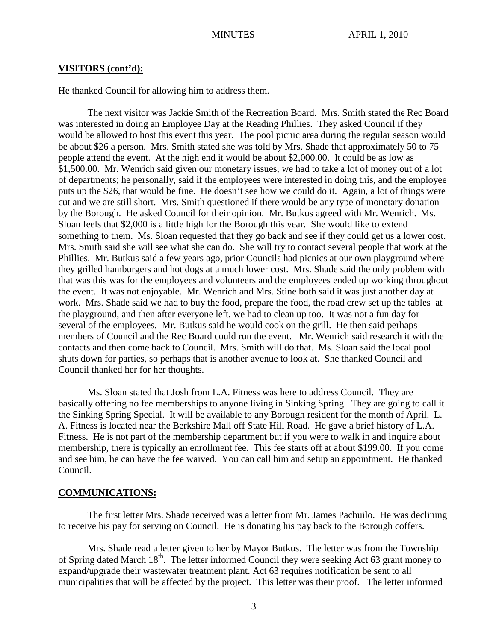#### **VISITORS (cont'd):**

He thanked Council for allowing him to address them.

The next visitor was Jackie Smith of the Recreation Board. Mrs. Smith stated the Rec Board was interested in doing an Employee Day at the Reading Phillies. They asked Council if they would be allowed to host this event this year. The pool picnic area during the regular season would be about \$26 a person. Mrs. Smith stated she was told by Mrs. Shade that approximately 50 to 75 people attend the event. At the high end it would be about \$2,000.00. It could be as low as \$1,500.00. Mr. Wenrich said given our monetary issues, we had to take a lot of money out of a lot of departments; he personally, said if the employees were interested in doing this, and the employee puts up the \$26, that would be fine. He doesn't see how we could do it. Again, a lot of things were cut and we are still short. Mrs. Smith questioned if there would be any type of monetary donation by the Borough. He asked Council for their opinion. Mr. Butkus agreed with Mr. Wenrich. Ms. Sloan feels that \$2,000 is a little high for the Borough this year. She would like to extend something to them. Ms. Sloan requested that they go back and see if they could get us a lower cost. Mrs. Smith said she will see what she can do. She will try to contact several people that work at the Phillies. Mr. Butkus said a few years ago, prior Councils had picnics at our own playground where they grilled hamburgers and hot dogs at a much lower cost. Mrs. Shade said the only problem with that was this was for the employees and volunteers and the employees ended up working throughout the event. It was not enjoyable. Mr. Wenrich and Mrs. Stine both said it was just another day at work. Mrs. Shade said we had to buy the food, prepare the food, the road crew set up the tables at the playground, and then after everyone left, we had to clean up too. It was not a fun day for several of the employees. Mr. Butkus said he would cook on the grill. He then said perhaps members of Council and the Rec Board could run the event. Mr. Wenrich said research it with the contacts and then come back to Council. Mrs. Smith will do that. Ms. Sloan said the local pool shuts down for parties, so perhaps that is another avenue to look at. She thanked Council and Council thanked her for her thoughts.

Ms. Sloan stated that Josh from L.A. Fitness was here to address Council. They are basically offering no fee memberships to anyone living in Sinking Spring. They are going to call it the Sinking Spring Special. It will be available to any Borough resident for the month of April. L. A. Fitness is located near the Berkshire Mall off State Hill Road. He gave a brief history of L.A. Fitness. He is not part of the membership department but if you were to walk in and inquire about membership, there is typically an enrollment fee. This fee starts off at about \$199.00. If you come and see him, he can have the fee waived. You can call him and setup an appointment. He thanked Council.

#### **COMMUNICATIONS:**

The first letter Mrs. Shade received was a letter from Mr. James Pachuilo. He was declining to receive his pay for serving on Council. He is donating his pay back to the Borough coffers.

Mrs. Shade read a letter given to her by Mayor Butkus. The letter was from the Township of Spring dated March 18<sup>th</sup>. The letter informed Council they were seeking Act 63 grant money to expand/upgrade their wastewater treatment plant. Act 63 requires notification be sent to all municipalities that will be affected by the project. This letter was their proof. The letter informed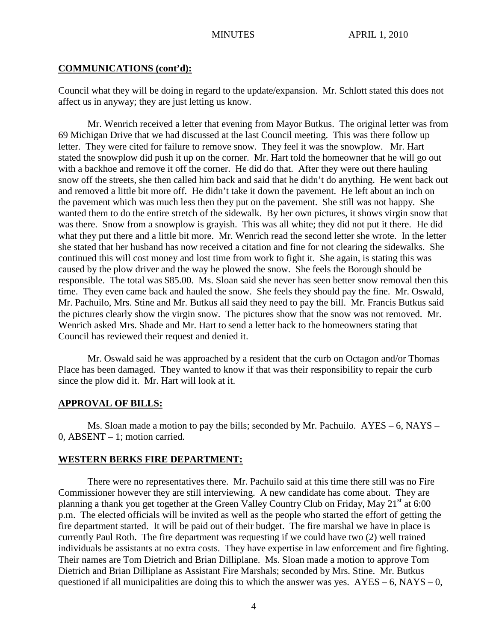#### **COMMUNICATIONS (cont'd):**

Council what they will be doing in regard to the update/expansion. Mr. Schlott stated this does not affect us in anyway; they are just letting us know.

Mr. Wenrich received a letter that evening from Mayor Butkus. The original letter was from 69 Michigan Drive that we had discussed at the last Council meeting. This was there follow up letter. They were cited for failure to remove snow. They feel it was the snowplow. Mr. Hart stated the snowplow did push it up on the corner. Mr. Hart told the homeowner that he will go out with a backhoe and remove it off the corner. He did do that. After they were out there hauling snow off the streets, she then called him back and said that he didn't do anything. He went back out and removed a little bit more off. He didn't take it down the pavement. He left about an inch on the pavement which was much less then they put on the pavement. She still was not happy. She wanted them to do the entire stretch of the sidewalk. By her own pictures, it shows virgin snow that was there. Snow from a snowplow is grayish. This was all white; they did not put it there. He did what they put there and a little bit more. Mr. Wenrich read the second letter she wrote. In the letter she stated that her husband has now received a citation and fine for not clearing the sidewalks. She continued this will cost money and lost time from work to fight it. She again, is stating this was caused by the plow driver and the way he plowed the snow. She feels the Borough should be responsible. The total was \$85.00. Ms. Sloan said she never has seen better snow removal then this time. They even came back and hauled the snow. She feels they should pay the fine. Mr. Oswald, Mr. Pachuilo, Mrs. Stine and Mr. Butkus all said they need to pay the bill. Mr. Francis Butkus said the pictures clearly show the virgin snow. The pictures show that the snow was not removed. Mr. Wenrich asked Mrs. Shade and Mr. Hart to send a letter back to the homeowners stating that Council has reviewed their request and denied it.

Mr. Oswald said he was approached by a resident that the curb on Octagon and/or Thomas Place has been damaged. They wanted to know if that was their responsibility to repair the curb since the plow did it. Mr. Hart will look at it.

## **APPROVAL OF BILLS:**

Ms. Sloan made a motion to pay the bills; seconded by Mr. Pachuilo. AYES – 6, NAYS – 0, ABSENT – 1; motion carried.

#### **WESTERN BERKS FIRE DEPARTMENT:**

There were no representatives there. Mr. Pachuilo said at this time there still was no Fire Commissioner however they are still interviewing. A new candidate has come about. They are planning a thank you get together at the Green Valley Country Club on Friday, May 21<sup>st</sup> at 6:00 p.m. The elected officials will be invited as well as the people who started the effort of getting the fire department started. It will be paid out of their budget. The fire marshal we have in place is currently Paul Roth. The fire department was requesting if we could have two (2) well trained individuals be assistants at no extra costs. They have expertise in law enforcement and fire fighting. Their names are Tom Dietrich and Brian Dilliplane. Ms. Sloan made a motion to approve Tom Dietrich and Brian Dilliplane as Assistant Fire Marshals; seconded by Mrs. Stine. Mr. Butkus questioned if all municipalities are doing this to which the answer was yes.  $AYES - 6$ ,  $NAYS - 0$ ,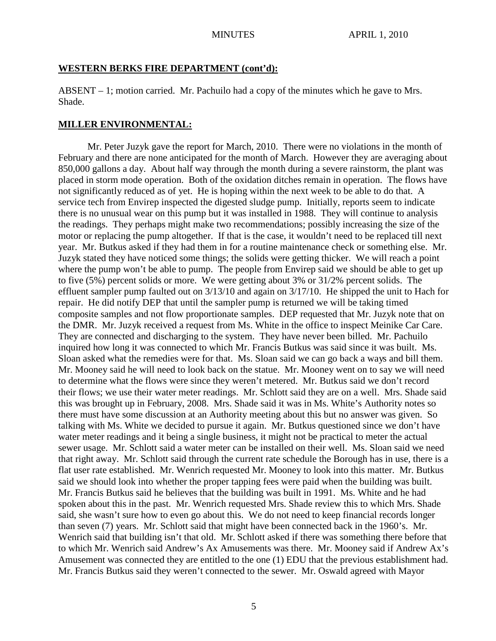#### **WESTERN BERKS FIRE DEPARTMENT (cont'd):**

ABSENT – 1; motion carried. Mr. Pachuilo had a copy of the minutes which he gave to Mrs. Shade.

## **MILLER ENVIRONMENTAL:**

Mr. Peter Juzyk gave the report for March, 2010. There were no violations in the month of February and there are none anticipated for the month of March. However they are averaging about 850,000 gallons a day. About half way through the month during a severe rainstorm, the plant was placed in storm mode operation. Both of the oxidation ditches remain in operation. The flows have not significantly reduced as of yet. He is hoping within the next week to be able to do that. A service tech from Envirep inspected the digested sludge pump. Initially, reports seem to indicate there is no unusual wear on this pump but it was installed in 1988. They will continue to analysis the readings. They perhaps might make two recommendations; possibly increasing the size of the motor or replacing the pump altogether. If that is the case, it wouldn't need to be replaced till next year. Mr. Butkus asked if they had them in for a routine maintenance check or something else. Mr. Juzyk stated they have noticed some things; the solids were getting thicker. We will reach a point where the pump won't be able to pump. The people from Envirep said we should be able to get up to five (5%) percent solids or more. We were getting about 3% or 31/2% percent solids. The effluent sampler pump faulted out on 3/13/10 and again on 3/17/10. He shipped the unit to Hach for repair. He did notify DEP that until the sampler pump is returned we will be taking timed composite samples and not flow proportionate samples. DEP requested that Mr. Juzyk note that on the DMR. Mr. Juzyk received a request from Ms. White in the office to inspect Meinike Car Care. They are connected and discharging to the system. They have never been billed. Mr. Pachuilo inquired how long it was connected to which Mr. Francis Butkus was said since it was built. Ms. Sloan asked what the remedies were for that. Ms. Sloan said we can go back a ways and bill them. Mr. Mooney said he will need to look back on the statue. Mr. Mooney went on to say we will need to determine what the flows were since they weren't metered. Mr. Butkus said we don't record their flows; we use their water meter readings. Mr. Schlott said they are on a well. Mrs. Shade said this was brought up in February, 2008. Mrs. Shade said it was in Ms. White's Authority notes so there must have some discussion at an Authority meeting about this but no answer was given. So talking with Ms. White we decided to pursue it again. Mr. Butkus questioned since we don't have water meter readings and it being a single business, it might not be practical to meter the actual sewer usage. Mr. Schlott said a water meter can be installed on their well. Ms. Sloan said we need that right away. Mr. Schlott said through the current rate schedule the Borough has in use, there is a flat user rate established. Mr. Wenrich requested Mr. Mooney to look into this matter. Mr. Butkus said we should look into whether the proper tapping fees were paid when the building was built. Mr. Francis Butkus said he believes that the building was built in 1991. Ms. White and he had spoken about this in the past. Mr. Wenrich requested Mrs. Shade review this to which Mrs. Shade said, she wasn't sure how to even go about this. We do not need to keep financial records longer than seven (7) years. Mr. Schlott said that might have been connected back in the 1960's. Mr. Wenrich said that building isn't that old. Mr. Schlott asked if there was something there before that to which Mr. Wenrich said Andrew's Ax Amusements was there. Mr. Mooney said if Andrew Ax's Amusement was connected they are entitled to the one (1) EDU that the previous establishment had. Mr. Francis Butkus said they weren't connected to the sewer. Mr. Oswald agreed with Mayor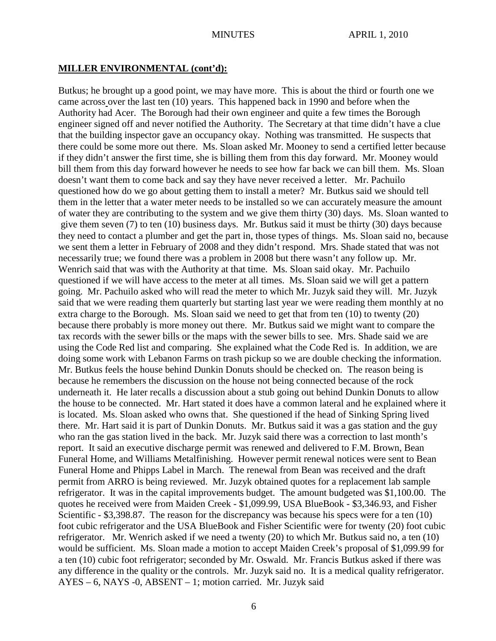#### **MILLER ENVIRONMENTAL (cont'd):**

Butkus; he brought up a good point, we may have more. This is about the third or fourth one we came across over the last ten (10) years. This happened back in 1990 and before when the Authority had Acer. The Borough had their own engineer and quite a few times the Borough engineer signed off and never notified the Authority. The Secretary at that time didn't have a clue that the building inspector gave an occupancy okay. Nothing was transmitted. He suspects that there could be some more out there. Ms. Sloan asked Mr. Mooney to send a certified letter because if they didn't answer the first time, she is billing them from this day forward. Mr. Mooney would bill them from this day forward however he needs to see how far back we can bill them. Ms. Sloan doesn't want them to come back and say they have never received a letter. Mr. Pachuilo questioned how do we go about getting them to install a meter? Mr. Butkus said we should tell them in the letter that a water meter needs to be installed so we can accurately measure the amount of water they are contributing to the system and we give them thirty (30) days. Ms. Sloan wanted to give them seven (7) to ten (10) business days. Mr. Butkus said it must be thirty (30) days because they need to contact a plumber and get the part in, those types of things. Ms. Sloan said no, because we sent them a letter in February of 2008 and they didn't respond. Mrs. Shade stated that was not necessarily true; we found there was a problem in 2008 but there wasn't any follow up. Mr. Wenrich said that was with the Authority at that time. Ms. Sloan said okay. Mr. Pachuilo questioned if we will have access to the meter at all times. Ms. Sloan said we will get a pattern going. Mr. Pachuilo asked who will read the meter to which Mr. Juzyk said they will. Mr. Juzyk said that we were reading them quarterly but starting last year we were reading them monthly at no extra charge to the Borough. Ms. Sloan said we need to get that from ten (10) to twenty (20) because there probably is more money out there. Mr. Butkus said we might want to compare the tax records with the sewer bills or the maps with the sewer bills to see. Mrs. Shade said we are using the Code Red list and comparing. She explained what the Code Red is. In addition, we are doing some work with Lebanon Farms on trash pickup so we are double checking the information. Mr. Butkus feels the house behind Dunkin Donuts should be checked on. The reason being is because he remembers the discussion on the house not being connected because of the rock underneath it. He later recalls a discussion about a stub going out behind Dunkin Donuts to allow the house to be connected. Mr. Hart stated it does have a common lateral and he explained where it is located. Ms. Sloan asked who owns that. She questioned if the head of Sinking Spring lived there. Mr. Hart said it is part of Dunkin Donuts. Mr. Butkus said it was a gas station and the guy who ran the gas station lived in the back. Mr. Juzyk said there was a correction to last month's report. It said an executive discharge permit was renewed and delivered to F.M. Brown, Bean Funeral Home, and Williams Metalfinishing. However permit renewal notices were sent to Bean Funeral Home and Phipps Label in March. The renewal from Bean was received and the draft permit from ARRO is being reviewed. Mr. Juzyk obtained quotes for a replacement lab sample refrigerator. It was in the capital improvements budget. The amount budgeted was \$1,100.00. The quotes he received were from Maiden Creek - \$1,099.99, USA BlueBook - \$3,346.93, and Fisher Scientific - \$3,398.87. The reason for the discrepancy was because his specs were for a ten (10) foot cubic refrigerator and the USA BlueBook and Fisher Scientific were for twenty (20) foot cubic refrigerator. Mr. Wenrich asked if we need a twenty (20) to which Mr. Butkus said no, a ten (10) would be sufficient. Ms. Sloan made a motion to accept Maiden Creek's proposal of \$1,099.99 for a ten (10) cubic foot refrigerator; seconded by Mr. Oswald. Mr. Francis Butkus asked if there was any difference in the quality or the controls. Mr. Juzyk said no. It is a medical quality refrigerator. AYES – 6, NAYS -0, ABSENT – 1; motion carried. Mr. Juzyk said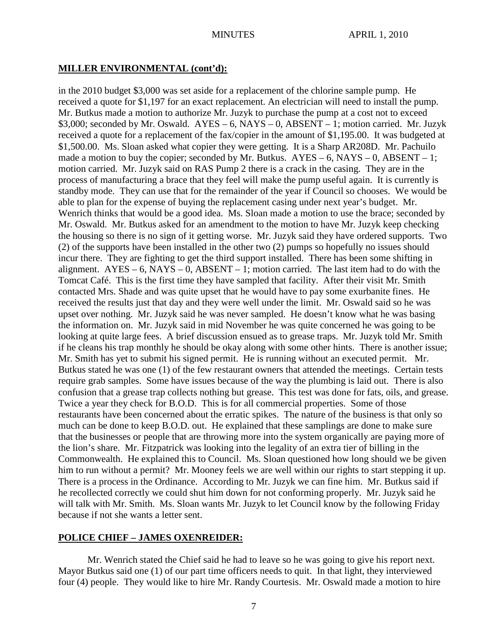#### **MILLER ENVIRONMENTAL (cont'd):**

in the 2010 budget \$3,000 was set aside for a replacement of the chlorine sample pump. He received a quote for \$1,197 for an exact replacement. An electrician will need to install the pump. Mr. Butkus made a motion to authorize Mr. Juzyk to purchase the pump at a cost not to exceed  $$3,000$ ; seconded by Mr. Oswald. AYES – 6, NAYS – 0, ABSENT – 1; motion carried. Mr. Juzyk received a quote for a replacement of the fax/copier in the amount of \$1,195.00. It was budgeted at \$1,500.00. Ms. Sloan asked what copier they were getting. It is a Sharp AR208D. Mr. Pachuilo made a motion to buy the copier; seconded by Mr. Butkus.  $AYES - 6$ ,  $NAYS - 0$ ,  $ABSENT - 1$ ; motion carried. Mr. Juzyk said on RAS Pump 2 there is a crack in the casing. They are in the process of manufacturing a brace that they feel will make the pump useful again. It is currently is standby mode. They can use that for the remainder of the year if Council so chooses. We would be able to plan for the expense of buying the replacement casing under next year's budget. Mr. Wenrich thinks that would be a good idea. Ms. Sloan made a motion to use the brace; seconded by Mr. Oswald. Mr. Butkus asked for an amendment to the motion to have Mr. Juzyk keep checking the housing so there is no sign of it getting worse. Mr. Juzyk said they have ordered supports. Two (2) of the supports have been installed in the other two (2) pumps so hopefully no issues should incur there. They are fighting to get the third support installed. There has been some shifting in alignment.  $AYES - 6$ ,  $NAYS - 0$ ,  $ABSENT - 1$ ; motion carried. The last item had to do with the Tomcat Café. This is the first time they have sampled that facility. After their visit Mr. Smith contacted Mrs. Shade and was quite upset that he would have to pay some exurbanite fines. He received the results just that day and they were well under the limit. Mr. Oswald said so he was upset over nothing. Mr. Juzyk said he was never sampled. He doesn't know what he was basing the information on. Mr. Juzyk said in mid November he was quite concerned he was going to be looking at quite large fees. A brief discussion ensued as to grease traps. Mr. Juzyk told Mr. Smith if he cleans his trap monthly he should be okay along with some other hints. There is another issue; Mr. Smith has yet to submit his signed permit. He is running without an executed permit. Mr. Butkus stated he was one (1) of the few restaurant owners that attended the meetings. Certain tests require grab samples. Some have issues because of the way the plumbing is laid out. There is also confusion that a grease trap collects nothing but grease. This test was done for fats, oils, and grease. Twice a year they check for B.O.D. This is for all commercial properties. Some of those restaurants have been concerned about the erratic spikes. The nature of the business is that only so much can be done to keep B.O.D. out. He explained that these samplings are done to make sure that the businesses or people that are throwing more into the system organically are paying more of the lion's share. Mr. Fitzpatrick was looking into the legality of an extra tier of billing in the Commonwealth. He explained this to Council. Ms. Sloan questioned how long should we be given him to run without a permit? Mr. Mooney feels we are well within our rights to start stepping it up. There is a process in the Ordinance. According to Mr. Juzyk we can fine him. Mr. Butkus said if he recollected correctly we could shut him down for not conforming properly. Mr. Juzyk said he will talk with Mr. Smith. Ms. Sloan wants Mr. Juzyk to let Council know by the following Friday because if not she wants a letter sent.

#### **POLICE CHIEF – JAMES OXENREIDER:**

Mr. Wenrich stated the Chief said he had to leave so he was going to give his report next. Mayor Butkus said one (1) of our part time officers needs to quit. In that light, they interviewed four (4) people. They would like to hire Mr. Randy Courtesis. Mr. Oswald made a motion to hire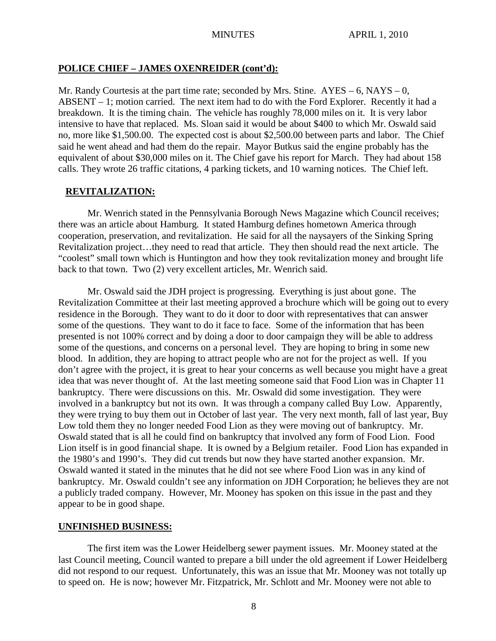# **POLICE CHIEF – JAMES OXENREIDER (cont'd):**

Mr. Randy Courtesis at the part time rate; seconded by Mrs. Stine.  $AYES - 6$ , NAYS – 0, ABSENT – 1; motion carried. The next item had to do with the Ford Explorer. Recently it had a breakdown. It is the timing chain. The vehicle has roughly 78,000 miles on it. It is very labor intensive to have that replaced. Ms. Sloan said it would be about \$400 to which Mr. Oswald said no, more like \$1,500.00. The expected cost is about \$2,500.00 between parts and labor. The Chief said he went ahead and had them do the repair. Mayor Butkus said the engine probably has the equivalent of about \$30,000 miles on it. The Chief gave his report for March. They had about 158 calls. They wrote 26 traffic citations, 4 parking tickets, and 10 warning notices. The Chief left.

# **REVITALIZATION:**

Mr. Wenrich stated in the Pennsylvania Borough News Magazine which Council receives; there was an article about Hamburg. It stated Hamburg defines hometown America through cooperation, preservation, and revitalization. He said for all the naysayers of the Sinking Spring Revitalization project…they need to read that article. They then should read the next article. The "coolest" small town which is Huntington and how they took revitalization money and brought life back to that town. Two (2) very excellent articles, Mr. Wenrich said.

Mr. Oswald said the JDH project is progressing. Everything is just about gone. The Revitalization Committee at their last meeting approved a brochure which will be going out to every residence in the Borough. They want to do it door to door with representatives that can answer some of the questions. They want to do it face to face. Some of the information that has been presented is not 100% correct and by doing a door to door campaign they will be able to address some of the questions, and concerns on a personal level. They are hoping to bring in some new blood. In addition, they are hoping to attract people who are not for the project as well. If you don't agree with the project, it is great to hear your concerns as well because you might have a great idea that was never thought of. At the last meeting someone said that Food Lion was in Chapter 11 bankruptcy. There were discussions on this. Mr. Oswald did some investigation. They were involved in a bankruptcy but not its own. It was through a company called Buy Low. Apparently, they were trying to buy them out in October of last year. The very next month, fall of last year, Buy Low told them they no longer needed Food Lion as they were moving out of bankruptcy. Mr. Oswald stated that is all he could find on bankruptcy that involved any form of Food Lion. Food Lion itself is in good financial shape. It is owned by a Belgium retailer. Food Lion has expanded in the 1980's and 1990's. They did cut trends but now they have started another expansion. Mr. Oswald wanted it stated in the minutes that he did not see where Food Lion was in any kind of bankruptcy. Mr. Oswald couldn't see any information on JDH Corporation; he believes they are not a publicly traded company. However, Mr. Mooney has spoken on this issue in the past and they appear to be in good shape.

# **UNFINISHED BUSINESS:**

The first item was the Lower Heidelberg sewer payment issues. Mr. Mooney stated at the last Council meeting, Council wanted to prepare a bill under the old agreement if Lower Heidelberg did not respond to our request. Unfortunately, this was an issue that Mr. Mooney was not totally up to speed on. He is now; however Mr. Fitzpatrick, Mr. Schlott and Mr. Mooney were not able to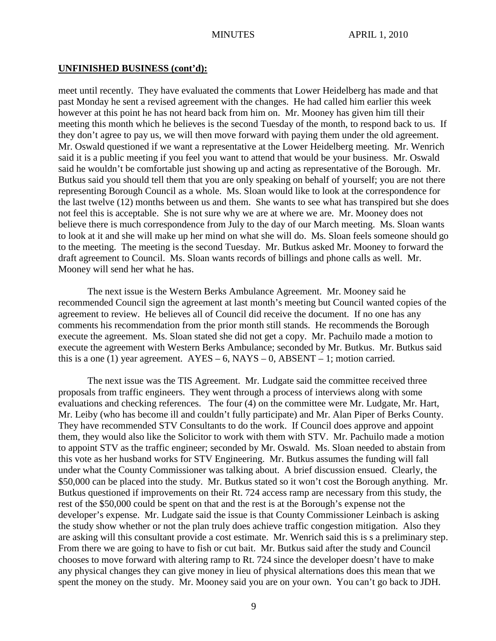#### **UNFINISHED BUSINESS (cont'd):**

meet until recently. They have evaluated the comments that Lower Heidelberg has made and that past Monday he sent a revised agreement with the changes. He had called him earlier this week however at this point he has not heard back from him on. Mr. Mooney has given him till their meeting this month which he believes is the second Tuesday of the month, to respond back to us. If they don't agree to pay us, we will then move forward with paying them under the old agreement. Mr. Oswald questioned if we want a representative at the Lower Heidelberg meeting. Mr. Wenrich said it is a public meeting if you feel you want to attend that would be your business. Mr. Oswald said he wouldn't be comfortable just showing up and acting as representative of the Borough. Mr. Butkus said you should tell them that you are only speaking on behalf of yourself; you are not there representing Borough Council as a whole. Ms. Sloan would like to look at the correspondence for the last twelve (12) months between us and them. She wants to see what has transpired but she does not feel this is acceptable. She is not sure why we are at where we are. Mr. Mooney does not believe there is much correspondence from July to the day of our March meeting. Ms. Sloan wants to look at it and she will make up her mind on what she will do. Ms. Sloan feels someone should go to the meeting. The meeting is the second Tuesday. Mr. Butkus asked Mr. Mooney to forward the draft agreement to Council. Ms. Sloan wants records of billings and phone calls as well. Mr. Mooney will send her what he has.

The next issue is the Western Berks Ambulance Agreement. Mr. Mooney said he recommended Council sign the agreement at last month's meeting but Council wanted copies of the agreement to review. He believes all of Council did receive the document. If no one has any comments his recommendation from the prior month still stands. He recommends the Borough execute the agreement. Ms. Sloan stated she did not get a copy. Mr. Pachuilo made a motion to execute the agreement with Western Berks Ambulance; seconded by Mr. Butkus. Mr. Butkus said this is a one (1) year agreement.  $AYES - 6$ ,  $NAYS - 0$ ,  $ABSENT - 1$ ; motion carried.

The next issue was the TIS Agreement. Mr. Ludgate said the committee received three proposals from traffic engineers. They went through a process of interviews along with some evaluations and checking references. The four (4) on the committee were Mr. Ludgate, Mr. Hart, Mr. Leiby (who has become ill and couldn't fully participate) and Mr. Alan Piper of Berks County. They have recommended STV Consultants to do the work. If Council does approve and appoint them, they would also like the Solicitor to work with them with STV. Mr. Pachuilo made a motion to appoint STV as the traffic engineer; seconded by Mr. Oswald. Ms. Sloan needed to abstain from this vote as her husband works for STV Engineering. Mr. Butkus assumes the funding will fall under what the County Commissioner was talking about. A brief discussion ensued. Clearly, the \$50,000 can be placed into the study. Mr. Butkus stated so it won't cost the Borough anything. Mr. Butkus questioned if improvements on their Rt. 724 access ramp are necessary from this study, the rest of the \$50,000 could be spent on that and the rest is at the Borough's expense not the developer's expense. Mr. Ludgate said the issue is that County Commissioner Leinbach is asking the study show whether or not the plan truly does achieve traffic congestion mitigation. Also they are asking will this consultant provide a cost estimate. Mr. Wenrich said this is s a preliminary step. From there we are going to have to fish or cut bait. Mr. Butkus said after the study and Council chooses to move forward with altering ramp to Rt. 724 since the developer doesn't have to make any physical changes they can give money in lieu of physical alternations does this mean that we spent the money on the study. Mr. Mooney said you are on your own. You can't go back to JDH.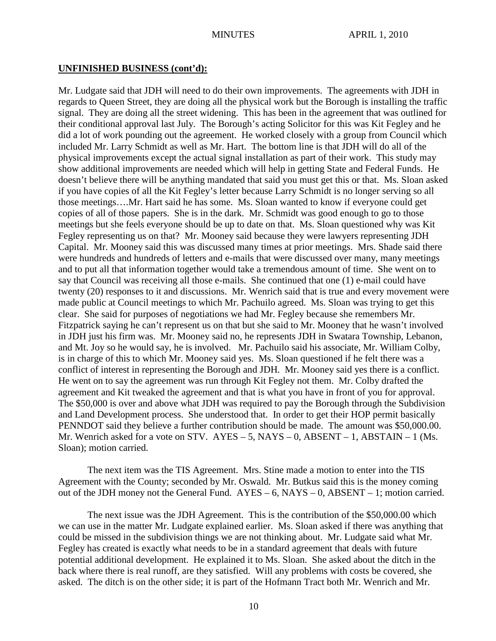#### **UNFINISHED BUSINESS (cont'd):**

Mr. Ludgate said that JDH will need to do their own improvements. The agreements with JDH in regards to Queen Street, they are doing all the physical work but the Borough is installing the traffic signal. They are doing all the street widening. This has been in the agreement that was outlined for their conditional approval last July. The Borough's acting Solicitor for this was Kit Fegley and he did a lot of work pounding out the agreement. He worked closely with a group from Council which included Mr. Larry Schmidt as well as Mr. Hart. The bottom line is that JDH will do all of the physical improvements except the actual signal installation as part of their work. This study may show additional improvements are needed which will help in getting State and Federal Funds. He doesn't believe there will be anything mandated that said you must get this or that. Ms. Sloan asked if you have copies of all the Kit Fegley's letter because Larry Schmidt is no longer serving so all those meetings….Mr. Hart said he has some. Ms. Sloan wanted to know if everyone could get copies of all of those papers. She is in the dark. Mr. Schmidt was good enough to go to those meetings but she feels everyone should be up to date on that. Ms. Sloan questioned why was Kit Fegley representing us on that? Mr. Mooney said because they were lawyers representing JDH Capital. Mr. Mooney said this was discussed many times at prior meetings. Mrs. Shade said there were hundreds and hundreds of letters and e-mails that were discussed over many, many meetings and to put all that information together would take a tremendous amount of time. She went on to say that Council was receiving all those e-mails. She continued that one (1) e-mail could have twenty (20) responses to it and discussions. Mr. Wenrich said that is true and every movement were made public at Council meetings to which Mr. Pachuilo agreed. Ms. Sloan was trying to get this clear. She said for purposes of negotiations we had Mr. Fegley because she remembers Mr. Fitzpatrick saying he can't represent us on that but she said to Mr. Mooney that he wasn't involved in JDH just his firm was. Mr. Mooney said no, he represents JDH in Swatara Township, Lebanon, and Mt. Joy so he would say, he is involved. Mr. Pachuilo said his associate, Mr. William Colby, is in charge of this to which Mr. Mooney said yes. Ms. Sloan questioned if he felt there was a conflict of interest in representing the Borough and JDH. Mr. Mooney said yes there is a conflict. He went on to say the agreement was run through Kit Fegley not them. Mr. Colby drafted the agreement and Kit tweaked the agreement and that is what you have in front of you for approval. The \$50,000 is over and above what JDH was required to pay the Borough through the Subdivision and Land Development process. She understood that. In order to get their HOP permit basically PENNDOT said they believe a further contribution should be made. The amount was \$50,000.00. Mr. Wenrich asked for a vote on STV.  $AYES - 5$ , NAYS – 0, ABSENT – 1, ABSTAIN – 1 (Ms. Sloan); motion carried.

The next item was the TIS Agreement. Mrs. Stine made a motion to enter into the TIS Agreement with the County; seconded by Mr. Oswald. Mr. Butkus said this is the money coming out of the JDH money not the General Fund. AYES – 6, NAYS – 0, ABSENT – 1; motion carried.

The next issue was the JDH Agreement. This is the contribution of the \$50,000.00 which we can use in the matter Mr. Ludgate explained earlier. Ms. Sloan asked if there was anything that could be missed in the subdivision things we are not thinking about. Mr. Ludgate said what Mr. Fegley has created is exactly what needs to be in a standard agreement that deals with future potential additional development. He explained it to Ms. Sloan. She asked about the ditch in the back where there is real runoff, are they satisfied. Will any problems with costs be covered, she asked. The ditch is on the other side; it is part of the Hofmann Tract both Mr. Wenrich and Mr.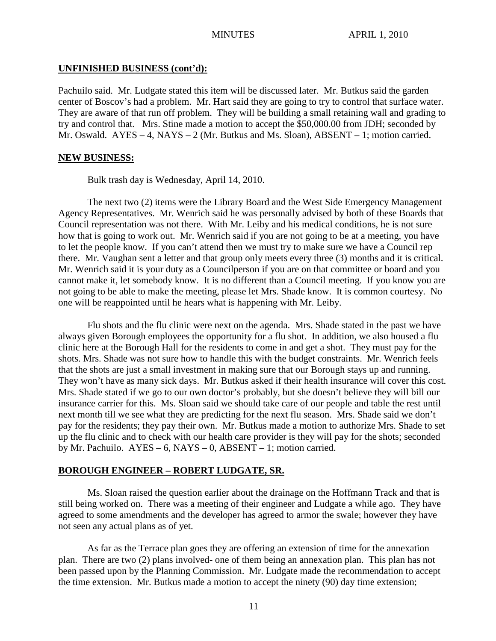#### **UNFINISHED BUSINESS (cont'd):**

Pachuilo said. Mr. Ludgate stated this item will be discussed later. Mr. Butkus said the garden center of Boscov's had a problem. Mr. Hart said they are going to try to control that surface water. They are aware of that run off problem. They will be building a small retaining wall and grading to try and control that. Mrs. Stine made a motion to accept the \$50,000.00 from JDH; seconded by Mr. Oswald. AYES – 4, NAYS – 2 (Mr. Butkus and Ms. Sloan), ABSENT – 1; motion carried.

#### **NEW BUSINESS:**

Bulk trash day is Wednesday, April 14, 2010.

The next two (2) items were the Library Board and the West Side Emergency Management Agency Representatives. Mr. Wenrich said he was personally advised by both of these Boards that Council representation was not there. With Mr. Leiby and his medical conditions, he is not sure how that is going to work out. Mr. Wenrich said if you are not going to be at a meeting, you have to let the people know. If you can't attend then we must try to make sure we have a Council rep there. Mr. Vaughan sent a letter and that group only meets every three (3) months and it is critical. Mr. Wenrich said it is your duty as a Councilperson if you are on that committee or board and you cannot make it, let somebody know. It is no different than a Council meeting. If you know you are not going to be able to make the meeting, please let Mrs. Shade know. It is common courtesy. No one will be reappointed until he hears what is happening with Mr. Leiby.

Flu shots and the flu clinic were next on the agenda. Mrs. Shade stated in the past we have always given Borough employees the opportunity for a flu shot. In addition, we also housed a flu clinic here at the Borough Hall for the residents to come in and get a shot. They must pay for the shots. Mrs. Shade was not sure how to handle this with the budget constraints. Mr. Wenrich feels that the shots are just a small investment in making sure that our Borough stays up and running. They won't have as many sick days. Mr. Butkus asked if their health insurance will cover this cost. Mrs. Shade stated if we go to our own doctor's probably, but she doesn't believe they will bill our insurance carrier for this. Ms. Sloan said we should take care of our people and table the rest until next month till we see what they are predicting for the next flu season. Mrs. Shade said we don't pay for the residents; they pay their own. Mr. Butkus made a motion to authorize Mrs. Shade to set up the flu clinic and to check with our health care provider is they will pay for the shots; seconded by Mr. Pachuilo.  $AYES - 6$ ,  $NAYS - 0$ ,  $ABSENT - 1$ ; motion carried.

# **BOROUGH ENGINEER – ROBERT LUDGATE, SR.**

Ms. Sloan raised the question earlier about the drainage on the Hoffmann Track and that is still being worked on. There was a meeting of their engineer and Ludgate a while ago. They have agreed to some amendments and the developer has agreed to armor the swale; however they have not seen any actual plans as of yet.

As far as the Terrace plan goes they are offering an extension of time for the annexation plan. There are two (2) plans involved- one of them being an annexation plan. This plan has not been passed upon by the Planning Commission. Mr. Ludgate made the recommendation to accept the time extension. Mr. Butkus made a motion to accept the ninety (90) day time extension;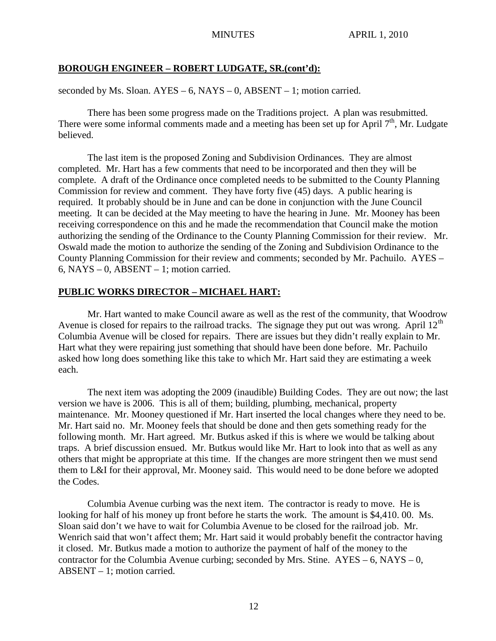### **BOROUGH ENGINEER – ROBERT LUDGATE, SR.(cont'd):**

seconded by Ms. Sloan.  $AYES - 6$ ,  $NAYS - 0$ ,  $ABSENT - 1$ ; motion carried.

There has been some progress made on the Traditions project. A plan was resubmitted. There were some informal comments made and a meeting has been set up for April  $7<sup>th</sup>$ , Mr. Ludgate believed.

The last item is the proposed Zoning and Subdivision Ordinances. They are almost completed. Mr. Hart has a few comments that need to be incorporated and then they will be complete. A draft of the Ordinance once completed needs to be submitted to the County Planning Commission for review and comment. They have forty five (45) days. A public hearing is required. It probably should be in June and can be done in conjunction with the June Council meeting. It can be decided at the May meeting to have the hearing in June. Mr. Mooney has been receiving correspondence on this and he made the recommendation that Council make the motion authorizing the sending of the Ordinance to the County Planning Commission for their review. Mr. Oswald made the motion to authorize the sending of the Zoning and Subdivision Ordinance to the County Planning Commission for their review and comments; seconded by Mr. Pachuilo. AYES – 6, NAYS – 0, ABSENT – 1; motion carried.

# **PUBLIC WORKS DIRECTOR – MICHAEL HART:**

Mr. Hart wanted to make Council aware as well as the rest of the community, that Woodrow Avenue is closed for repairs to the railroad tracks. The signage they put out was wrong. April  $12<sup>th</sup>$ Columbia Avenue will be closed for repairs. There are issues but they didn't really explain to Mr. Hart what they were repairing just something that should have been done before. Mr. Pachuilo asked how long does something like this take to which Mr. Hart said they are estimating a week each.

The next item was adopting the 2009 (inaudible) Building Codes. They are out now; the last version we have is 2006. This is all of them; building, plumbing, mechanical, property maintenance. Mr. Mooney questioned if Mr. Hart inserted the local changes where they need to be. Mr. Hart said no. Mr. Mooney feels that should be done and then gets something ready for the following month. Mr. Hart agreed. Mr. Butkus asked if this is where we would be talking about traps. A brief discussion ensued. Mr. Butkus would like Mr. Hart to look into that as well as any others that might be appropriate at this time. If the changes are more stringent then we must send them to L&I for their approval, Mr. Mooney said. This would need to be done before we adopted the Codes.

Columbia Avenue curbing was the next item. The contractor is ready to move. He is looking for half of his money up front before he starts the work. The amount is \$4,410. 00. Ms. Sloan said don't we have to wait for Columbia Avenue to be closed for the railroad job. Mr. Wenrich said that won't affect them; Mr. Hart said it would probably benefit the contractor having it closed. Mr. Butkus made a motion to authorize the payment of half of the money to the contractor for the Columbia Avenue curbing; seconded by Mrs. Stine.  $AYES - 6$ ,  $NAYS - 0$ , ABSENT – 1; motion carried.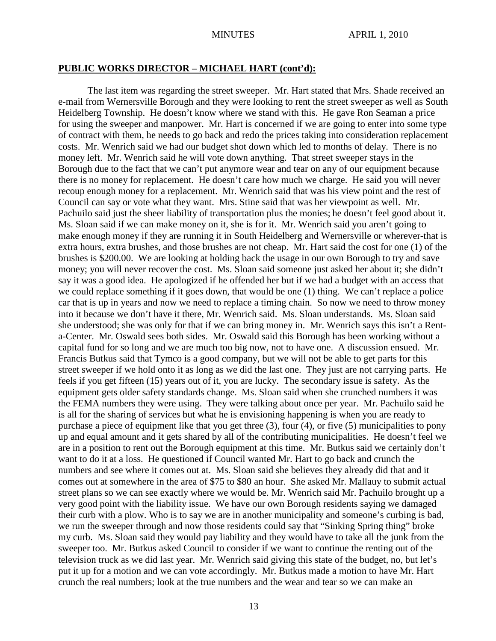### **PUBLIC WORKS DIRECTOR – MICHAEL HART (cont'd):**

The last item was regarding the street sweeper. Mr. Hart stated that Mrs. Shade received an e-mail from Wernersville Borough and they were looking to rent the street sweeper as well as South Heidelberg Township. He doesn't know where we stand with this. He gave Ron Seaman a price for using the sweeper and manpower. Mr. Hart is concerned if we are going to enter into some type of contract with them, he needs to go back and redo the prices taking into consideration replacement costs. Mr. Wenrich said we had our budget shot down which led to months of delay. There is no money left. Mr. Wenrich said he will vote down anything. That street sweeper stays in the Borough due to the fact that we can't put anymore wear and tear on any of our equipment because there is no money for replacement. He doesn't care how much we charge. He said you will never recoup enough money for a replacement. Mr. Wenrich said that was his view point and the rest of Council can say or vote what they want. Mrs. Stine said that was her viewpoint as well. Mr. Pachuilo said just the sheer liability of transportation plus the monies; he doesn't feel good about it. Ms. Sloan said if we can make money on it, she is for it. Mr. Wenrich said you aren't going to make enough money if they are running it in South Heidelberg and Wernersville or wherever-that is extra hours, extra brushes, and those brushes are not cheap. Mr. Hart said the cost for one (1) of the brushes is \$200.00. We are looking at holding back the usage in our own Borough to try and save money; you will never recover the cost. Ms. Sloan said someone just asked her about it; she didn't say it was a good idea. He apologized if he offended her but if we had a budget with an access that we could replace something if it goes down, that would be one (1) thing. We can't replace a police car that is up in years and now we need to replace a timing chain. So now we need to throw money into it because we don't have it there, Mr. Wenrich said. Ms. Sloan understands. Ms. Sloan said she understood; she was only for that if we can bring money in. Mr. Wenrich says this isn't a Renta-Center. Mr. Oswald sees both sides. Mr. Oswald said this Borough has been working without a capital fund for so long and we are much too big now, not to have one. A discussion ensued. Mr. Francis Butkus said that Tymco is a good company, but we will not be able to get parts for this street sweeper if we hold onto it as long as we did the last one. They just are not carrying parts. He feels if you get fifteen (15) years out of it, you are lucky. The secondary issue is safety. As the equipment gets older safety standards change. Ms. Sloan said when she crunched numbers it was the FEMA numbers they were using. They were talking about once per year. Mr. Pachuilo said he is all for the sharing of services but what he is envisioning happening is when you are ready to purchase a piece of equipment like that you get three (3), four (4), or five (5) municipalities to pony up and equal amount and it gets shared by all of the contributing municipalities. He doesn't feel we are in a position to rent out the Borough equipment at this time. Mr. Butkus said we certainly don't want to do it at a loss. He questioned if Council wanted Mr. Hart to go back and crunch the numbers and see where it comes out at. Ms. Sloan said she believes they already did that and it comes out at somewhere in the area of \$75 to \$80 an hour. She asked Mr. Mallauy to submit actual street plans so we can see exactly where we would be. Mr. Wenrich said Mr. Pachuilo brought up a very good point with the liability issue. We have our own Borough residents saying we damaged their curb with a plow. Who is to say we are in another municipality and someone's curbing is bad, we run the sweeper through and now those residents could say that "Sinking Spring thing" broke my curb. Ms. Sloan said they would pay liability and they would have to take all the junk from the sweeper too. Mr. Butkus asked Council to consider if we want to continue the renting out of the television truck as we did last year. Mr. Wenrich said giving this state of the budget, no, but let's put it up for a motion and we can vote accordingly. Mr. Butkus made a motion to have Mr. Hart crunch the real numbers; look at the true numbers and the wear and tear so we can make an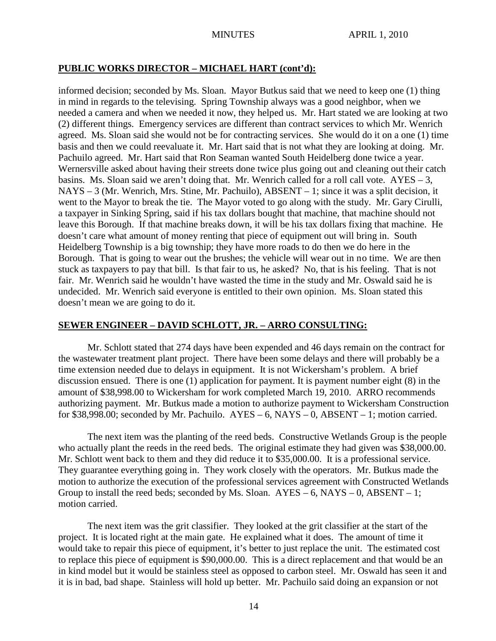## **PUBLIC WORKS DIRECTOR – MICHAEL HART (cont'd):**

informed decision; seconded by Ms. Sloan. Mayor Butkus said that we need to keep one (1) thing in mind in regards to the televising. Spring Township always was a good neighbor, when we needed a camera and when we needed it now, they helped us. Mr. Hart stated we are looking at two (2) different things. Emergency services are different than contract services to which Mr. Wenrich agreed. Ms. Sloan said she would not be for contracting services. She would do it on a one (1) time basis and then we could reevaluate it. Mr. Hart said that is not what they are looking at doing. Mr. Pachuilo agreed. Mr. Hart said that Ron Seaman wanted South Heidelberg done twice a year. Wernersville asked about having their streets done twice plus going out and cleaning out their catch basins. Ms. Sloan said we aren't doing that. Mr. Wenrich called for a roll call vote.  $AYES - 3$ , NAYS – 3 (Mr. Wenrich, Mrs. Stine, Mr. Pachuilo), ABSENT – 1; since it was a split decision, it went to the Mayor to break the tie. The Mayor voted to go along with the study. Mr. Gary Cirulli, a taxpayer in Sinking Spring, said if his tax dollars bought that machine, that machine should not leave this Borough. If that machine breaks down, it will be his tax dollars fixing that machine. He doesn't care what amount of money renting that piece of equipment out will bring in. South Heidelberg Township is a big township; they have more roads to do then we do here in the Borough. That is going to wear out the brushes; the vehicle will wear out in no time. We are then stuck as taxpayers to pay that bill. Is that fair to us, he asked? No, that is his feeling. That is not fair. Mr. Wenrich said he wouldn't have wasted the time in the study and Mr. Oswald said he is undecided. Mr. Wenrich said everyone is entitled to their own opinion. Ms. Sloan stated this doesn't mean we are going to do it.

# **SEWER ENGINEER – DAVID SCHLOTT, JR. – ARRO CONSULTING:**

Mr. Schlott stated that 274 days have been expended and 46 days remain on the contract for the wastewater treatment plant project. There have been some delays and there will probably be a time extension needed due to delays in equipment. It is not Wickersham's problem. A brief discussion ensued. There is one (1) application for payment. It is payment number eight (8) in the amount of \$38,998.00 to Wickersham for work completed March 19, 2010. ARRO recommends authorizing payment. Mr. Butkus made a motion to authorize payment to Wickersham Construction for \$38,998.00; seconded by Mr. Pachuilo.  $AYES - 6$ ,  $NAYS - 0$ ,  $ABSENT - 1$ ; motion carried.

The next item was the planting of the reed beds. Constructive Wetlands Group is the people who actually plant the reeds in the reed beds. The original estimate they had given was \$38,000.00. Mr. Schlott went back to them and they did reduce it to \$35,000.00. It is a professional service. They guarantee everything going in. They work closely with the operators. Mr. Butkus made the motion to authorize the execution of the professional services agreement with Constructed Wetlands Group to install the reed beds; seconded by Ms. Sloan.  $AYES - 6$ ,  $NAYS - 0$ ,  $ABSENT - 1$ ; motion carried.

The next item was the grit classifier. They looked at the grit classifier at the start of the project. It is located right at the main gate. He explained what it does. The amount of time it would take to repair this piece of equipment, it's better to just replace the unit. The estimated cost to replace this piece of equipment is \$90,000.00. This is a direct replacement and that would be an in kind model but it would be stainless steel as opposed to carbon steel. Mr. Oswald has seen it and it is in bad, bad shape. Stainless will hold up better. Mr. Pachuilo said doing an expansion or not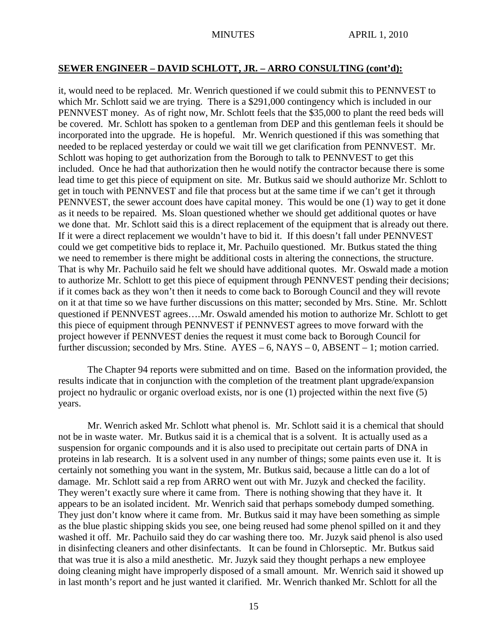### **SEWER ENGINEER – DAVID SCHLOTT, JR. – ARRO CONSULTING (cont'd):**

it, would need to be replaced. Mr. Wenrich questioned if we could submit this to PENNVEST to which Mr. Schlott said we are trying. There is a \$291,000 contingency which is included in our PENNVEST money. As of right now, Mr. Schlott feels that the \$35,000 to plant the reed beds will be covered. Mr. Schlott has spoken to a gentleman from DEP and this gentleman feels it should be incorporated into the upgrade. He is hopeful. Mr. Wenrich questioned if this was something that needed to be replaced yesterday or could we wait till we get clarification from PENNVEST. Mr. Schlott was hoping to get authorization from the Borough to talk to PENNVEST to get this included. Once he had that authorization then he would notify the contractor because there is some lead time to get this piece of equipment on site. Mr. Butkus said we should authorize Mr. Schlott to get in touch with PENNVEST and file that process but at the same time if we can't get it through PENNVEST, the sewer account does have capital money. This would be one (1) way to get it done as it needs to be repaired. Ms. Sloan questioned whether we should get additional quotes or have we done that. Mr. Schlott said this is a direct replacement of the equipment that is already out there. If it were a direct replacement we wouldn't have to bid it. If this doesn't fall under PENNVEST could we get competitive bids to replace it, Mr. Pachuilo questioned. Mr. Butkus stated the thing we need to remember is there might be additional costs in altering the connections, the structure. That is why Mr. Pachuilo said he felt we should have additional quotes. Mr. Oswald made a motion to authorize Mr. Schlott to get this piece of equipment through PENNVEST pending their decisions; if it comes back as they won't then it needs to come back to Borough Council and they will revote on it at that time so we have further discussions on this matter; seconded by Mrs. Stine. Mr. Schlott questioned if PENNVEST agrees….Mr. Oswald amended his motion to authorize Mr. Schlott to get this piece of equipment through PENNVEST if PENNVEST agrees to move forward with the project however if PENNVEST denies the request it must come back to Borough Council for further discussion; seconded by Mrs. Stine.  $AYES - 6$ ,  $NAYS - 0$ ,  $ABSENT - 1$ ; motion carried.

The Chapter 94 reports were submitted and on time. Based on the information provided, the results indicate that in conjunction with the completion of the treatment plant upgrade/expansion project no hydraulic or organic overload exists, nor is one (1) projected within the next five (5) years.

Mr. Wenrich asked Mr. Schlott what phenol is. Mr. Schlott said it is a chemical that should not be in waste water. Mr. Butkus said it is a chemical that is a solvent. It is actually used as a suspension for organic compounds and it is also used to precipitate out certain parts of DNA in proteins in lab research. It is a solvent used in any number of things; some paints even use it. It is certainly not something you want in the system, Mr. Butkus said, because a little can do a lot of damage. Mr. Schlott said a rep from ARRO went out with Mr. Juzyk and checked the facility. They weren't exactly sure where it came from. There is nothing showing that they have it. It appears to be an isolated incident. Mr. Wenrich said that perhaps somebody dumped something. They just don't know where it came from. Mr. Butkus said it may have been something as simple as the blue plastic shipping skids you see, one being reused had some phenol spilled on it and they washed it off. Mr. Pachuilo said they do car washing there too. Mr. Juzyk said phenol is also used in disinfecting cleaners and other disinfectants. It can be found in Chlorseptic. Mr. Butkus said that was true it is also a mild anesthetic. Mr. Juzyk said they thought perhaps a new employee doing cleaning might have improperly disposed of a small amount. Mr. Wenrich said it showed up in last month's report and he just wanted it clarified. Mr. Wenrich thanked Mr. Schlott for all the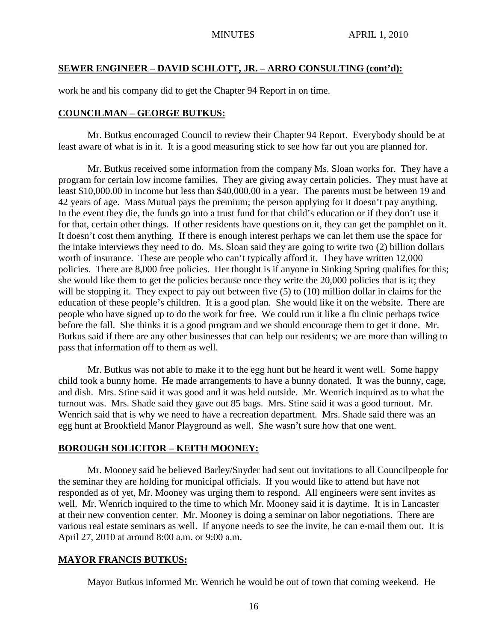### **SEWER ENGINEER – DAVID SCHLOTT, JR. – ARRO CONSULTING (cont'd):**

work he and his company did to get the Chapter 94 Report in on time.

### **COUNCILMAN – GEORGE BUTKUS:**

Mr. Butkus encouraged Council to review their Chapter 94 Report. Everybody should be at least aware of what is in it. It is a good measuring stick to see how far out you are planned for.

Mr. Butkus received some information from the company Ms. Sloan works for. They have a program for certain low income families. They are giving away certain policies. They must have at least \$10,000.00 in income but less than \$40,000.00 in a year. The parents must be between 19 and 42 years of age. Mass Mutual pays the premium; the person applying for it doesn't pay anything. In the event they die, the funds go into a trust fund for that child's education or if they don't use it for that, certain other things. If other residents have questions on it, they can get the pamphlet on it. It doesn't cost them anything. If there is enough interest perhaps we can let them use the space for the intake interviews they need to do. Ms. Sloan said they are going to write two (2) billion dollars worth of insurance. These are people who can't typically afford it. They have written 12,000 policies. There are 8,000 free policies. Her thought is if anyone in Sinking Spring qualifies for this; she would like them to get the policies because once they write the 20,000 policies that is it; they will be stopping it. They expect to pay out between five (5) to (10) million dollar in claims for the education of these people's children. It is a good plan. She would like it on the website. There are people who have signed up to do the work for free. We could run it like a flu clinic perhaps twice before the fall. She thinks it is a good program and we should encourage them to get it done. Mr. Butkus said if there are any other businesses that can help our residents; we are more than willing to pass that information off to them as well.

Mr. Butkus was not able to make it to the egg hunt but he heard it went well. Some happy child took a bunny home. He made arrangements to have a bunny donated. It was the bunny, cage, and dish. Mrs. Stine said it was good and it was held outside. Mr. Wenrich inquired as to what the turnout was. Mrs. Shade said they gave out 85 bags. Mrs. Stine said it was a good turnout. Mr. Wenrich said that is why we need to have a recreation department. Mrs. Shade said there was an egg hunt at Brookfield Manor Playground as well. She wasn't sure how that one went.

#### **BOROUGH SOLICITOR – KEITH MOONEY:**

Mr. Mooney said he believed Barley/Snyder had sent out invitations to all Councilpeople for the seminar they are holding for municipal officials. If you would like to attend but have not responded as of yet, Mr. Mooney was urging them to respond. All engineers were sent invites as well. Mr. Wenrich inquired to the time to which Mr. Mooney said it is daytime. It is in Lancaster at their new convention center. Mr. Mooney is doing a seminar on labor negotiations. There are various real estate seminars as well. If anyone needs to see the invite, he can e-mail them out. It is April 27, 2010 at around 8:00 a.m. or 9:00 a.m.

#### **MAYOR FRANCIS BUTKUS:**

Mayor Butkus informed Mr. Wenrich he would be out of town that coming weekend. He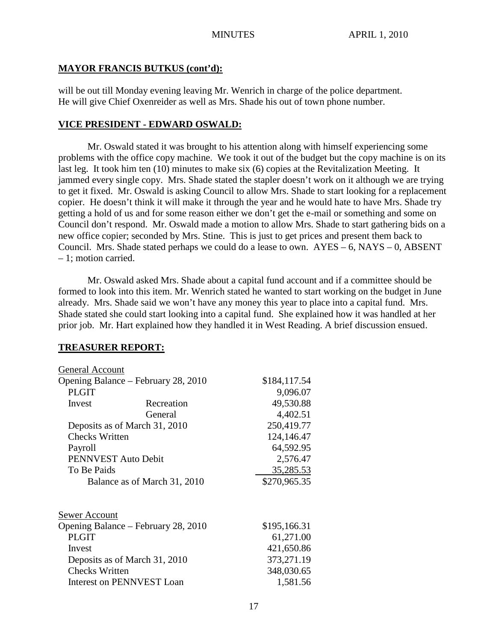#### **MAYOR FRANCIS BUTKUS (cont'd):**

will be out till Monday evening leaving Mr. Wenrich in charge of the police department. He will give Chief Oxenreider as well as Mrs. Shade his out of town phone number.

### **VICE PRESIDENT - EDWARD OSWALD:**

Mr. Oswald stated it was brought to his attention along with himself experiencing some problems with the office copy machine. We took it out of the budget but the copy machine is on its last leg. It took him ten (10) minutes to make six (6) copies at the Revitalization Meeting. It jammed every single copy. Mrs. Shade stated the stapler doesn't work on it although we are trying to get it fixed. Mr. Oswald is asking Council to allow Mrs. Shade to start looking for a replacement copier. He doesn't think it will make it through the year and he would hate to have Mrs. Shade try getting a hold of us and for some reason either we don't get the e-mail or something and some on Council don't respond. Mr. Oswald made a motion to allow Mrs. Shade to start gathering bids on a new office copier; seconded by Mrs. Stine. This is just to get prices and present them back to Council. Mrs. Shade stated perhaps we could do a lease to own.  $AYES - 6$ ,  $NAYS - 0$ ,  $ABSENT$ – 1; motion carried.

Mr. Oswald asked Mrs. Shade about a capital fund account and if a committee should be formed to look into this item. Mr. Wenrich stated he wanted to start working on the budget in June already. Mrs. Shade said we won't have any money this year to place into a capital fund. Mrs. Shade stated she could start looking into a capital fund. She explained how it was handled at her prior job. Mr. Hart explained how they handled it in West Reading. A brief discussion ensued.

#### **TREASURER REPORT:**

| General Account                     |              |              |
|-------------------------------------|--------------|--------------|
| Opening Balance – February 28, 2010 | \$184,117.54 |              |
| <b>PLGIT</b>                        |              | 9,096.07     |
| Invest                              | Recreation   | 49,530.88    |
|                                     | General      | 4,402.51     |
| Deposits as of March 31, 2010       | 250,419.77   |              |
| <b>Checks Written</b>               | 124,146.47   |              |
| Payroll                             |              | 64,592.95    |
| PENNVEST Auto Debit                 |              | 2,576.47     |
| To Be Paids                         |              | 35,285.53    |
| Balance as of March 31, 2010        |              | \$270,965.35 |
| Sewer Account                       |              |              |
| Opening Balance – February 28, 2010 |              | \$195,166.31 |
| <b>PLGIT</b>                        |              | 61,271.00    |
| Invest                              |              | 421,650.86   |
| Deposits as of March 31, 2010       |              | 373,271.19   |
| <b>Checks Written</b>               |              | 348,030.65   |
| <b>Interest on PENNVEST Loan</b>    |              | 1,581.56     |